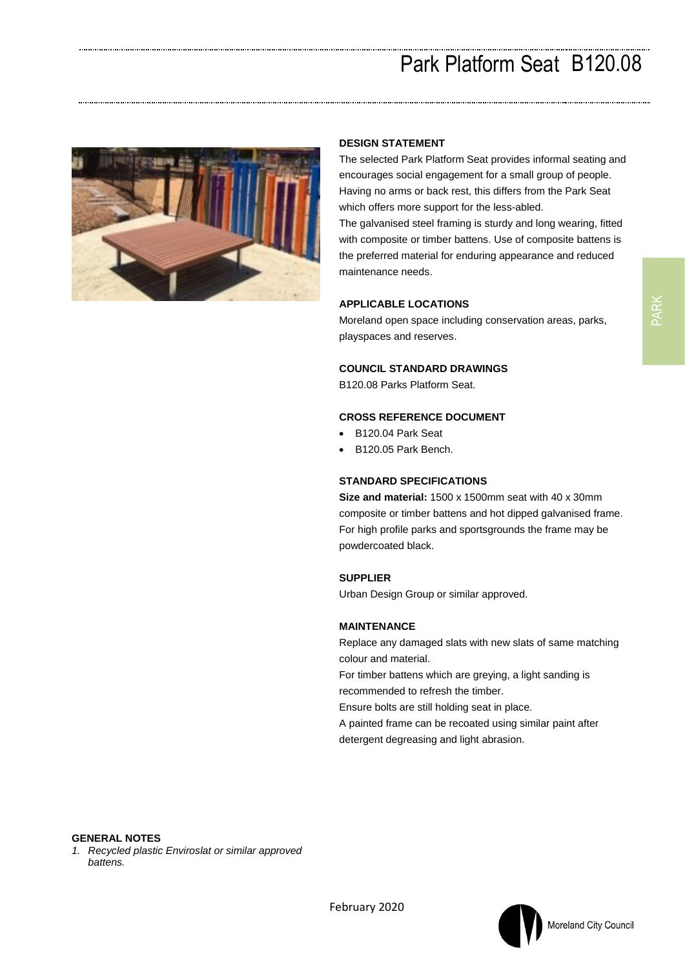# Park Platform Seat B120.08



#### **DESIGN STATEMENT**

The selected Park Platform Seat provides informal seating and encourages social engagement for a small group of people. Having no arms or back rest, this differs from the Park Seat which offers more support for the less-abled. The galvanised steel framing is sturdy and long wearing, fitted with composite or timber battens. Use of composite battens is the preferred material for enduring appearance and reduced maintenance needs.

#### **APPLICABLE LOCATIONS**

Moreland open space including conservation areas, parks, playspaces and reserves.

#### **COUNCIL STANDARD DRAWINGS**

B120.08 Parks Platform Seat.

### **CROSS REFERENCE DOCUMENT**

- B120.04 Park Seat
- B120.05 Park Bench.

#### **STANDARD SPECIFICATIONS**

**Size and material:** 1500 x 1500mm seat with 40 x 30mm composite or timber battens and hot dipped galvanised frame. For high profile parks and sportsgrounds the frame may be powdercoated black.

### **SUPPLIER**

Urban Design Group or similar approved.

#### **MAINTENANCE**

Replace any damaged slats with new slats of same matching colour and material.

For timber battens which are greying, a light sanding is recommended to refresh the timber.

Ensure bolts are still holding seat in place.

A painted frame can be recoated using similar paint after detergent degreasing and light abrasion.

PARK

*1. Recycled plastic Enviroslat or similar approved battens.*